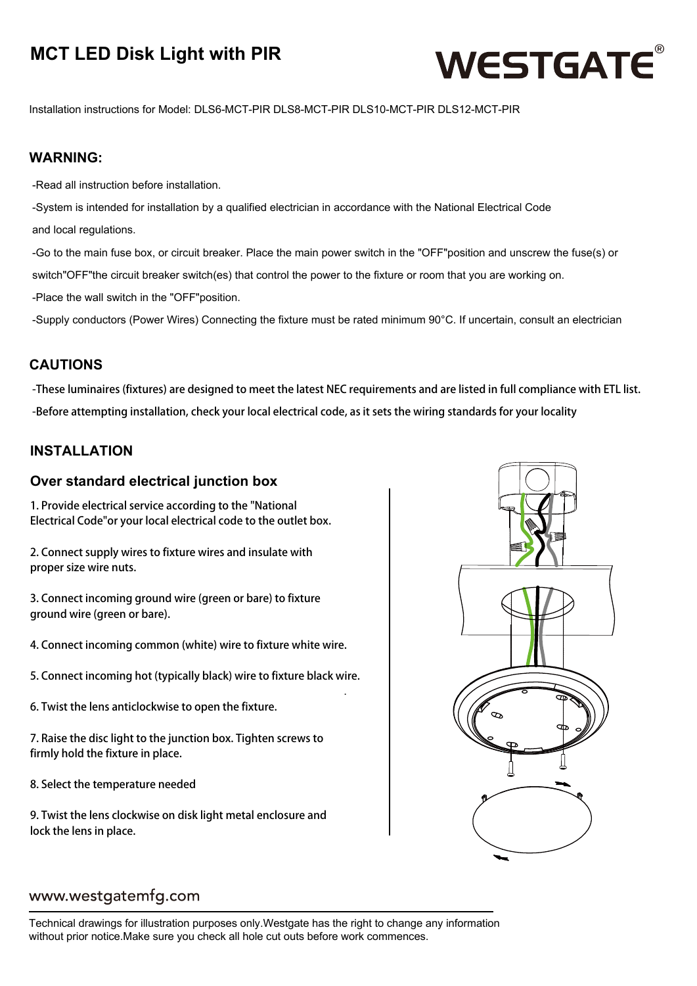### **MCT LED Disk Light with PIR**



Installation instructions for Model: DLS6-MCT-PIR DLS8-MCT-PIR DLS10-MCT-PIR DLS12-MCT-PIR

### **WARNING:**

-Read all instruction before installation.

-System is intended for installation by a qualified electrician in accordance with the National Electrical Code and local regulations.

-Go to the main fuse box, or circuit breaker. Place the main power switch in the "OFF"position and unscrew the fuse(s) or switch"OFF"the circuit breaker switch(es) that control the power to the fixture or room that you are working on. -Place the wall switch in the "OFF"position.

-Supply conductors (Power Wires) Connecting the fixture must be rated minimum 90°C. If uncertain, consult an electrician

### **CAUTIONS**

-These luminaires (fixtures) are designed to meet the latest NEC requirements and are listed in full compliance with ETL list. -Before attempting installation, check your local electrical code, as it sets the wiring standards for your locality

.

### **INSTALLATION**

#### **Over standard electrical junction box**

1. Provide electrical service according to the "National Electrical Code"or your local electrical code to the outlet box.

2. Connect supply wires to fixture wires and insulate with proper size wire nuts.

3. Connect incoming ground wire (green or bare) to fixture ground wire (green or bare).

4. Connect incoming common (white) wire to fixture white wire.

5. Connect incoming hot (typically black) wire to fixture black wire.

6. Twist the lens anticlockwise to open the fixture.

7. Raise the disc light to the junction box. Tighten screws to firmly hold the fixture in place.

8. Select the temperature needed

9. Twist the lens clockwise on disk light metal enclosure and lock the lens in place.



### www.westgatemfg.com

Technical drawings for illustration purposes only.Westgate has the right to change any information without prior notice.Make sure you check all hole cut outs before work commences.